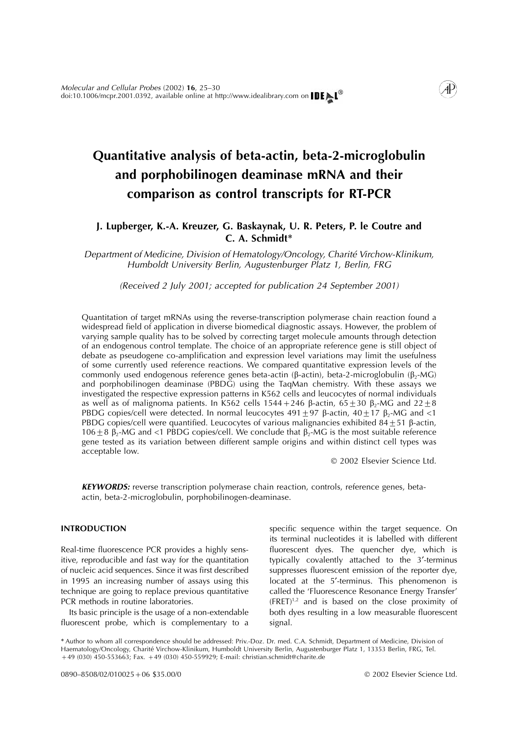# **Quantitative analysis of beta-actin, beta-2-microglobulin and porphobilinogen deaminase mRNA and their comparison as control transcripts for RT-PCR**

# **J. Lupberger, K.-A. Kreuzer, G. Baskaynak, U. R. Peters, P. le Coutre and C. A. Schmidt**∗

*Department of Medicine, Division of Hematology/Oncology, Charite´ Virchow-Klinikum, Humboldt University Berlin, Augustenburger Platz 1, Berlin, FRG*

*(Received 2 July 2001; accepted for publication 24 September 2001)*

Quantitation of target mRNAs using the reverse-transcription polymerase chain reaction found a widespread field of application in diverse biomedical diagnostic assays. However, the problem of varying sample quality has to be solved by correcting target molecule amounts through detection of an endogenous control template. The choice of an appropriate reference gene is still object of debate as pseudogene co-amplification and expression level variations may limit the usefulness of some currently used reference reactions. We compared quantitative expression levels of the commonly used endogenous reference genes beta-actin ( $\beta$ -actin), beta-2-microglobulin ( $\beta$ <sub>2</sub>-MG) and porphobilinogen deaminase (PBDG) using the TaqMan chemistry. With these assays we investigated the respective expression patterns in K562 cells and leucocytes of normal individuals as well as of malignoma patients. In K562 cells 1544+246  $\beta$ -actin, 65 $\pm$ 30  $\beta$ <sub>2</sub>-MG and 22 $\pm$ 8 PBDG copies/cell were detected. In normal leucocytes  $491 \pm 97$   $\beta$ -actin,  $40 \pm 17$   $\beta$ <sub>2</sub>-MG and <1 PBDG copies/cell were quantified. Leucocytes of various malignancies exhibited  $84 \pm 51$   $\beta$ -actin, 106  $\pm$  8  $\beta$ <sub>2</sub>-MG and <1 PBDG copies/cell. We conclude that  $\beta$ <sub>2</sub>-MG is the most suitable reference gene tested as its variation between different sample origins and within distinct cell types was acceptable low.

2002 Elsevier Science Ltd.

**KEYWORDS:** reverse transcription polymerase chain reaction, controls, reference genes, betaactin, beta-2-microglobulin, porphobilinogen-deaminase.

itive, reproducible and fast way for the quantitation typically covalently attached to the 3'-terminus of nucleic acid sequences. Since it was first described suppresses fluorescent emission of the reporter dye, in 1995 an increasing number of assays using this located at the 5'-terminus. This phenomenon is technique are going to replace previous quantitative called the 'Fluorescence Resonance Energy Transfer' PCR methods in routine laboratories.  $(FRET)^{1,2}$  and is based on the close proximity of

fluorescent probe, which is complementary to a signal.

**INTRODUCTION** specific sequence within the target sequence. On its terminal nucleotides it is labelled with different Real-time fluorescence PCR provides a highly sens- fluorescent dyes. The quencher dye, which is Its basic principle is the usage of a non-extendable both dyes resulting in a low measurable fluorescent

∗ Author to whom all correspondence should be addressed: Priv.-Doz. Dr. med. C.A. Schmidt, Department of Medicine, Division of Haematology/Oncology, Charité Virchow-Klinikum, Humboldt University Berlin, Augustenburger Platz 1, 13353 Berlin, FRG, Tel. +49 (030) 450-553663; Fax. +49 (030) 450-559929; E-mail: christian.schmidt@charite.de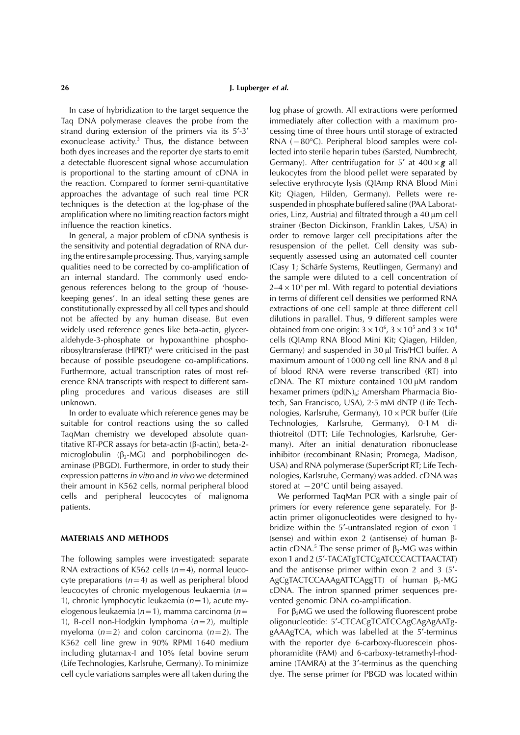In case of hybridization to the target sequence the log phase of growth. All extractions were performed Taq DNA polymerase cleaves the probe from the immediately after collection with a maximum prostrand during extension of the primers via its 5′-3′ cessing time of three hours until storage of extracted exonuclease activit[y.](#page-4-0)<sup>3</sup> Thus, the distance between RNA ( $-80^{\circ}$ C). Peripheral blood samples were colboth dyes increases and the reporter dye starts to emit lected into sterile heparin tubes (Sarsted, Numbrecht, a detectable fluorescent signal whose accumulation Germany). After centrifugation for 5' at  $400 \times g$  all is proportional to the starting amount of cDNA in leukocytes from the blood pellet were separated by the reaction. Compared to former semi-quantitative selective erythrocyte lysis (QIAmp RNA Blood Mini approaches the advantage of such real time PCR Kit; Qiagen, Hilden, Germany). Pellets were retechniques is the detection at the log-phase of the suspended in phosphate buffered saline (PAA Laboratamplification where no limiting reaction factors might influence the reaction kinetics. strainer (Becton Dickinson, Franklin Lakes, USA) in

the sensitivity and potential degradation of RNA dur- resuspension of the pellet. Cell density was subing the entire sample processing. Thus, varying sample sequently assessed using an automated cell counter qualities need to be corrected by co-amplification of (Casy 1; Scharfe Systems, Reutlingen, Germany) and an internal standard. The commonly used endo- the sample were diluted to a cell concentration of genous references belong to the group of 'house-  $2-4 \times 10^5$  per ml. With regard to potential deviations keeping genes'. In an ideal setting these genes are in terms of different cell densities we performed RNA constitutionally expressed by all cell types and should extractions of one cell sample at three different cell not be affected by any human disease. But even dilutions in parallel. Thus, 9 different samples were widely used reference genes like beta-actin, glycer-<br>obtained from one origin:  $3 \times 10^6$ ,  $3 \times 10^5$  and  $3 \times 10^4$ widely used reference genes like beta-actin, glycer- obtained from one origin: 3  $\times$  10<sup>6</sup>, 3  $\times$  10<sup>5</sup> and 3  $\times$  10<sup>4</sup> aldehyde-3-phosphate or hypoxanthine phospho- cells (QIAmp RNA Blood Mini Kit; Qiagen, Hilden, ribosyltransferase  $(HPRT)^4$  $(HPRT)^4$  $(HPRT)^4$  were criticised in the past because of possible pseudogene co-amplifications. Furthermore, actual transcription rates of most ref- of blood RNA were reverse transcribed (RT) into erence RNA transcripts with respect to different sampling procedures and various diseases are still bexamer primers ( $pd(N)_{6}$ ; Amersham Pharmacia Bio-

suitable for control reactions using the so called Technologies, Karlsruhe, Germany), 0.1 M di-TaqMan chemistry we developed absolute quan- thiotreitol (DTT; Life Technologies, Karlsruhe, Gertitative RT-PCR assays for beta-actin ( $\beta$ -actin), beta-2- many). After an initial denaturation ribonuclease microglobulin ( $\beta$ -MG) and porphobilinogen de- inhibitor (recombinant RNasin; Promega, Madison, aminase (PBGD). Furthermore, in order to study their USA) and RNA polymerase (SuperScript RT; Life Techexpression patterns *in vitro* and *in vivo* we determined nologies, Karlsruhe, Germany) was added. cDNA was their amount in K562 cells, normal peripheral blood stored at −20°C until being assayed. cells and peripheral leucocytes of malignoma We performed TaqMan PCR with a single pair of patients.  $\blacksquare$  patients for every reference gene separately. For  $\beta$ -

RNA extractions of K562 cells  $(n=4)$ , normal leuco- and the antisense primer within exon 2 and 3 (5<sup>'</sup>cyte preparations  $(n=4)$  as well as peripheral blood AgCgTACTCCAAAgATTCAggTT) of human  $\beta_2$ -MG leucocytes of chronic myelogenous leukaemia (*n*= cDNA. The intron spanned primer sequences pre-1), chronic lymphocytic leukaemia (*n*=1), acute my- vented genomic DNA co-amplification. elogenous leukaemia (*n*=1), mamma carcinoma (*n*= For 2MG we used the following fluorescent probe

ories, Linz, Austria) and filtrated through a 40 um cell In general, a major problem of cDNA synthesis is order to remove larger cell precipitations after the Germany) and suspended in 30 ul Tris/HCl buffer. A maximum amount of 1000 ng cell line RNA and 8 ul cDNA. The RT mixture contained  $100 \mu M$  random unknown. tech, San Francisco, USA), 2·5 mM dNTP (Life Tech-In order to evaluate which reference genes may be nologies, Karlsruhe, Germany),  $10 \times PCR$  buffer (Life inhibitor ( recombinant RNasin; Promega, Madison,

actin primer oligonucleotides were designed to hybridize within the 5′-untranslated region of exon 1 **MATERIALS AND METHODS** (sense) and within exon 2 (antisense) of human  $\beta$ actin cDNA.<sup>5</sup> The sense primer of  $\beta_2$ -MG was within The following samples were investigated: separate exon 1 and 2 (5'-TACATgTCTCgATCCCACTTAACTAT)

1), B-cell non-Hodgkin lymphoma (*n*=2), multiple oligonucleotide: 5′-CTCACgTCATCCAgCAgAgAATgmyeloma (*n*=2) and colon carcinoma (*n*=2). The gAAAgTCA, which was labelled at the 5′-terminus K562 cell line grew in 90% RPMI 1640 medium with the reporter dye 6-carboxy-fluorescein phosincluding glutamax-I and 10% fetal bovine serum phoramidite (FAM) and 6-carboxy-tetramethyl-rhod- (Life Technologies, Karlsruhe, Germany). To minimize amine (TAMRA) at the 3′-terminus as the quenching cell cycle variations samples were all taken during the dye. The sense primer for PBGD was located within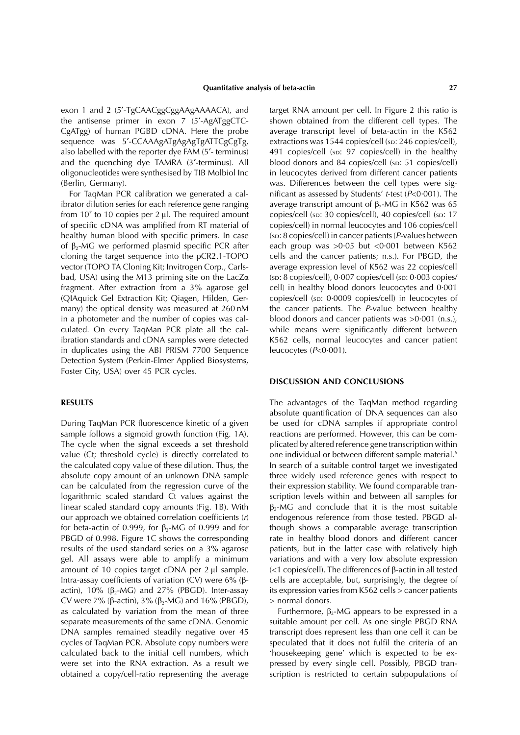exon 1 and 2 (5′-TgCAACggCggAAgAAAACA), and target RNA amount per cell. In Figure 2 this ratio is the antisense primer in exon 7 (5′-AgATggCTC- shown obtained from the different cell types. The CgATgg) of human PGBD cDNA. Here the probe average transcript level of beta-actin in the K562 sequence was 5'-CCAAAgATgAgAgTgATTCgCgTg, extractions was 1544 copies/cell (sp: 246 copies/cell), also labelled with the reporter dye FAM (5'- terminus) 491 copies/cell (sp: 97 copies/cell) in the healthy and the quenching dye TAMRA (3'-terminus). All blood donors and 84 copies/cell (sp: 51 copies/cell) oligonucleotides were synthesised by TIB Molbiol Inc in leucocytes derived from different cancer patients

ibrator dilution series for each reference gene ranging average transcript amount of  $\beta$ -MG in K562 was 65 from  $10^7$  to 10 copies per 2  $\mu$ l. The required amount of specific cDNA was amplified from RT material of copies/cell) in normal leucocytes and 106 copies/cell healthy human blood with specific primers. In case (sp: 8 copies/cell) in cancer patients (*P*-values between of  $\beta_2$ -MG we performed plasmid specific PCR after each group was >0.05 but <0.001 between K562 cloning the target sequence into the pCR2.1-TOPO cells and the cancer patients; n.s.). For PBGD, the vector (TOPO TA Cloning Kit; Invitrogen Corp., Carls- average expression level of K562 was 22 copies/cell bad, USA) using the M13 priming site on the LacZ $\alpha$  (sp: 8 copies/cell), 0·007 copies/cell (sp: 0·003 copies/ fragment. After extraction from a 3% agarose gel cell) in healthy blood donors leucocytes and 0·001 (QIAquick Gel Extraction Kit; Qiagen, Hilden, Ger- copies/cell (sp: 0.0009 copies/cell) in leucocytes of many) the optical density was measured at 260 nM the cancer patients. The *P*-value between healthy in a photometer and the number of copies was cal-<br>culated. On every TaqMan PCR plate all the cal-<br>while means were significantly different between ibration standards and cDNA samples were detected K562 cells, normal leucocytes and cancer patient in duplicates using the ABI PRISM 7700 Sequence leucocytes (*P*<0·001). Detection System (Perkin-Elmer Applied Biosystems, Foster City, USA) over 45 PCR cycles.

sample follows a sigmoid growth function (Fig. 1A). reactions are performed. However, this can be com-<br>The cycle when the signal exceeds a set threshold plicated by altered reference gene transcription within The cycle when the signal exceeds a set threshold plicated by altered reference gene transcription within value (Ct; threshold cycle) is directly correlated to one individual or between different sample material.<sup>6</sup> the calculated copy value of these dilution. Thus, the In search of a suitable control target we investigated absolute copy amount of an unknown DNA sample three widely used reference genes with respect to can be calculated from the regression curve of the their expression stability. We found comparable tran-<br>logarithmic scaled standard Ct values against the scription levels within and between all samples for logarithmic scaled standard Ct values against the linear scaled standard copy amounts (Fig. 1B). With  $\beta$ -MG and conclude that it is the most suitable our approach we obtained correlation coefficients (*r*) endogenous reference from those tested. PBGD alfor beta-actin of 0.999, for  $\beta_2$ -MG of 0.999 and for though shows a comparable average transcription PBGD of 0.998. Figure 1C shows the corresponding rate in healthy blood donors and different cancer results of the used standard series on a 3% agarose patients, but in the latter case with relatively high gel. All assays were able to amplify a minimum variations and with a very low absolute expression amount of 10 copies target cDNA per  $2 \mu l$  sample. Intra-assay coefficients of variation (CV) were  $6\%$  ( $\beta$ - cells are acceptable, but, surprisingly, the degree of actin), 10% (2-MG) and 27% (PBGD). Inter-assay its expression varies from K562 cells > cancer patients CV were 7% ( $\beta$ -actin), 3% ( $\beta$ <sub>2</sub>-MG) and 16% (PBGD),  $\Rightarrow$  normal donors.<br>as calculated by variation from the mean of three Furthermore,  $\beta$ <sub>2</sub>-MG appears to be expressed in a as calculated by variation from the mean of three were set into the RNA extraction. As a result we pressed by every single cell. Possibly, PBGD tran-

(Berlin, Germany). was. Differences between the cell types were sig-For TaqMan PCR calibration we generated a cal- nificant as assessed by Students' *t*-test (*P*<0·001). The copies/cell (sp: 30 copies/cell), 40 copies/cell (sp: 17 cells and the cancer patients; n.s.). For PBGD, the while means were significantly different between

## **DISCUSSION AND CONCLUSIONS**

**RESULTS** The advantages of the TaqMan method regarding absolute quantification of DNA sequences can also During TaqMan PCR fluorescence kinetic of a given be used for cDNA samples if appropriate control one individual or between different sample material.<sup>6</sup>  $\leq$  1 copies/cell). The differences of  $\beta$ -actin in all tested

separate measurements of the same cDNA. Genomic suitable amount per cell. As one single PBGD RNA DNA samples remained steadily negative over 45 transcript does represent less than one cell it can be cycles of TaqMan PCR. Absolute copy numbers were speculated that it does not fulfil the criteria of an calculated back to the initial cell numbers, which 'housekeeping gene' which is expected to be exobtained a copy/cell-ratio representing the average scription is restricted to certain subpopulations of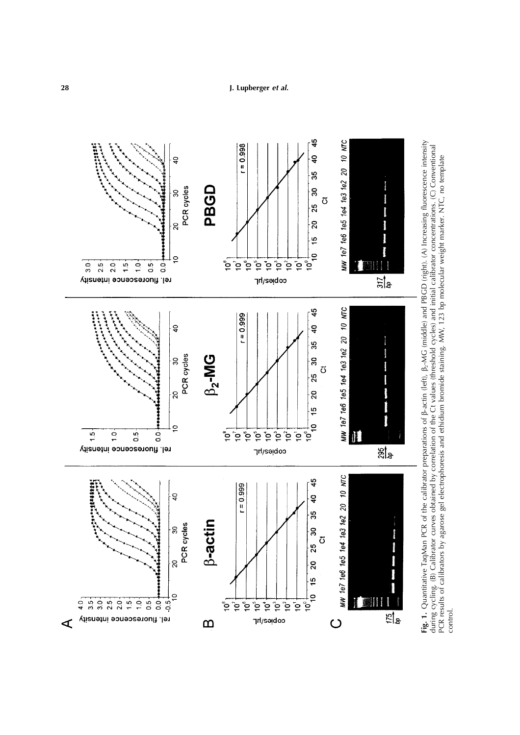

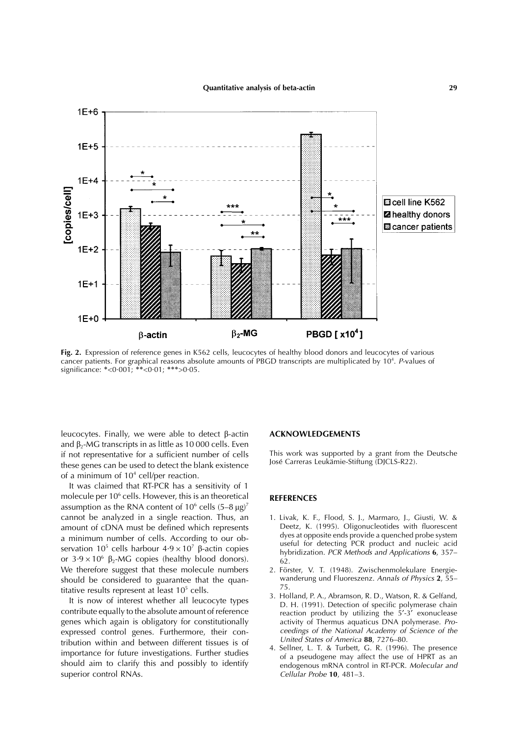<span id="page-4-0"></span>

**Fig. 2.** Expression of reference genes in K562 cells, leucocytes of healthy blood donors and leucocytes of various cancer patients. For graphical reasons absolute amounts of PBGD transcripts are multiplicated by 10<sup>4</sup>. P-values of significance: ∗<0·001; ∗∗<0·01; ∗∗∗>0·05.

leucocytes. Finally, we were able to detect β-actin **ACKNOWLEDGEMENTS** and  $\beta$ <sub>2</sub>-MG transcripts in as little as 10 000 cells. Even if not representative for a sufficient number of cells This work was supported by a grant from the Deutsche<br>
for a surface the block of the blank overtonce lose Carreras Leukämie-Stiftung (DJCLS-R22). these genes can be used to detect the blank existence of a minimum of  $10<sup>4</sup>$  cell/per reaction.

It was claimed that RT-PCR has a sensitivity of 1 molecule per 10<sup>6</sup> cells. However, this is an theoretical **REFERENCES** assumption as the RNA content of  $10^6$  cells  $(5-8 \mu g)^7$ cannot be analyzed in a single reaction. Thus, an 1. Livak, K. F., Flood, S. J., Marmaro, J., Giusti, W. & amount of cDNA must be defined which represents Deetz, K. (1995). Oligonucleotides with fluorescent amount of cDNA must be defined which represents<br>a minimum number of cells According to our ob-<br>dyes at opposite ends provide a quenched probe system a minimum number of cells. According to our ob-<br>servation  $10^5$  cells harbour  $4.9 \times 10^7$   $\beta$ -actin copies<br>or  $3.9 \times 10^6$   $\beta$ -MG copies (healthy blood donors).<br>We therefore suggest that these molecule numbers<br>2. Förs should be considered to guarantee that the quan-<br>*Annulus und Fluorescent at Page 10*<sup>5</sup>– $\frac{1}{25}$ 

genes which again is obligatory for constitutionally activity of Thermus aquaticus DNA polymerase. *Pro-*<br> **EXECUTE:** PROTECTER CONTROLLY CONTROLLY A POSTAGE AT A POSTAGE A PROTECTER POSTAGE A PROTECTER OF the PARTICUSH A expressed control genes. Furthermore, their con-<br>tribution within and between different tissues is of *United States of America* 88, 7276–80. tribution within and between different tissues is of<br>importance for future investigations. Further studies<br>should aim to clarify this and possibly to identify<br>superior control RNAs.<br>Cellular Probe 10, 481–3.

- 
- 2. Förster, V. T. (1948). Zwischenmolekulare Energie-<br>wanderung und Fluoreszenz. Annals of Physics 2. 55–
- titative results represent at least  $10^5$  cells.<br>
It is now of interest whether all leucocyte types<br>
2. Holland, P. A., Abramson, R. D., Watson, R. & Gelfand,<br>
2. H. (1991). Detection of specific polymerase chain<br>
contri
	- superior control RNAs. *Cellular Probe* **10**, 481–3.